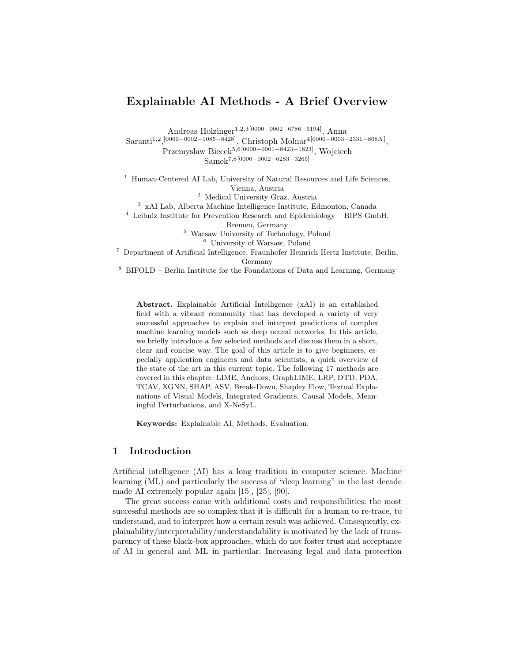# Explainable AI Methods - A Brief Overview

Andreas Holzinger1,2,3[0000−0002−6786−5194], Anna  $\text{Saranti}^{1,2}, \left[0000-0002-1085-8428\right], \text{Christoph Molnar}^{4}\left[\left(0000-0003-2331-868X\right],$ Przemyslaw Biecek5,6[0000−0001−8423−1823], Wojciech Samek7,8[0000−0002−6283−3265]

<sup>1</sup> Human-Centered AI Lab, University of Natural Resources and Life Sciences, Vienna, Austria

<sup>2</sup> Medical University Graz, Austria

3 xAI Lab, Alberta Machine Intelligence Institute, Edmonton, Canada

 $4$  Leibniz Institute for Prevention Research and Epidemiology – BIPS GmbH,

Bremen, Germany

<sup>5</sup> Warsaw University of Technology, Poland

<sup>6</sup> University of Warsaw, Poland

<sup>7</sup> Department of Artificial Intelligence, Fraunhofer Heinrich Hertz Institute, Berlin, Germany

<sup>8</sup> BIFOLD – Berlin Institute for the Foundations of Data and Learning, Germany

Abstract. Explainable Artificial Intelligence (xAI) is an established field with a vibrant community that has developed a variety of very successful approaches to explain and interpret predictions of complex machine learning models such as deep neural networks. In this article, we briefly introduce a few selected methods and discuss them in a short, clear and concise way. The goal of this article is to give beginners, especially application engineers and data scientists, a quick overview of the state of the art in this current topic. The following 17 methods are covered in this chapter: LIME, Anchors, GraphLIME, LRP, DTD, PDA, TCAV, XGNN, SHAP, ASV, Break-Down, Shapley Flow, Textual Explanations of Visual Models, Integrated Gradients, Causal Models, Meaningful Perturbations, and X-NeSyL.

Keywords: Explainable AI, Methods, Evaluation.

## 1 Introduction

Artificial intelligence (AI) has a long tradition in computer science. Machine learning (ML) and particularly the success of "deep learning" in the last decade made AI extremely popular again [15], [25], [90].

The great success came with additional costs and responsibilities: the most successful methods are so complex that it is difficult for a human to re-trace, to understand, and to interpret how a certain result was achieved. Consequently, explainability/interpretability/understandability is motivated by the lack of transparency of these black-box approaches, which do not foster trust and acceptance of AI in general and ML in particular. Increasing legal and data protection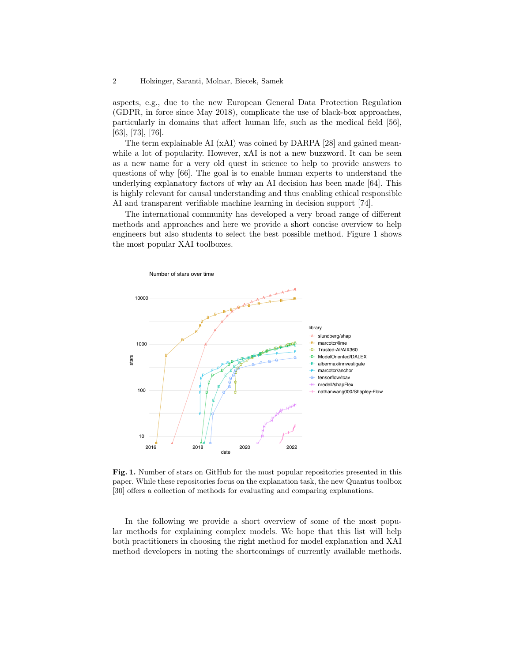aspects, e.g., due to the new European General Data Protection Regulation (GDPR, in force since May 2018), complicate the use of black-box approaches, particularly in domains that affect human life, such as the medical field [56], [63], [73], [76].

The term explainable AI (xAI) was coined by DARPA [28] and gained meanwhile a lot of popularity. However, xAI is not a new buzzword. It can be seen as a new name for a very old quest in science to help to provide answers to questions of why [66]. The goal is to enable human experts to understand the underlying explanatory factors of why an AI decision has been made [64]. This is highly relevant for causal understanding and thus enabling ethical responsible AI and transparent verifiable machine learning in decision support [74].

The international community has developed a very broad range of different methods and approaches and here we provide a short concise overview to help engineers but also students to select the best possible method. Figure 1 shows the most popular XAI toolboxes.



Fig. 1. Number of stars on GitHub for the most popular repositories presented in this paper. While these repositories focus on the explanation task, the new Quantus toolbox [30] offers a collection of methods for evaluating and comparing explanations.

In the following we provide a short overview of some of the most popular methods for explaining complex models. We hope that this list will help both practitioners in choosing the right method for model explanation and XAI method developers in noting the shortcomings of currently available methods.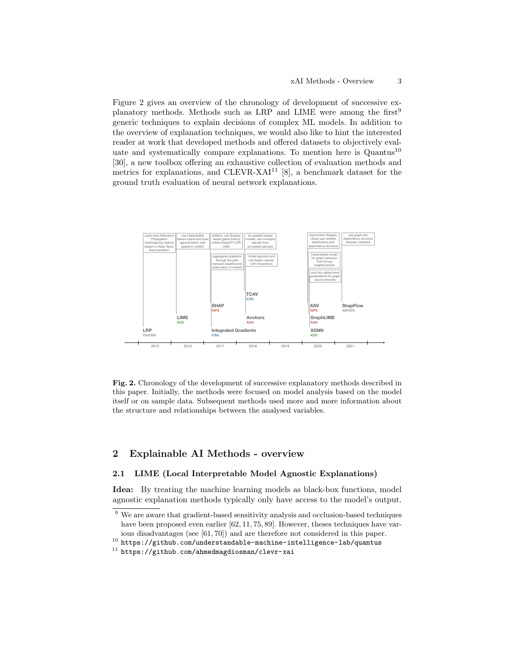Figure 2 gives an overview of the chronology of development of successive explanatory methods. Methods such as LRP and LIME were among the first<sup>9</sup> generic techniques to explain decisions of complex ML models. In addition to the overview of explanation techniques, we would also like to hint the interested reader at work that developed methods and offered datasets to objectively evaluate and systematically compare explanations. To mention here is  $\text{Quantus}^{10}$ [30], a new toolbox offering an exhaustive collection of evaluation methods and metrics for explanations, and  $CLEVR-XAI<sup>11</sup>$  [8], a benchmark dataset for the ground truth evaluation of neural network explanations. xAI Methods - Overview 3<br>
of the chronology of development of successive ex-<br>
ds such as LRP and LIME were among the first<sup>9</sup><br>
unifications of complex ML models. In addition to<br>
techniques, we would also like to hint the



Fig. 2. Chronology of the development of successive explanatory methods described in this paper. Initially, the methods were focused on model analysis based on the model itself or on sample data. Subsequent methods used more and more information about the structure and relationships between the analysed variables.

## 2 Explainable AI Methods - overview

## 2.1 LIME (Local Interpretable Model Agnostic Explanations)

Idea: By treating the machine learning models as black-box functions, model agnostic explanation methods typically only have access to the model's output.

 $9$  We are aware that gradient-based sensitivity analysis and occlusion-based techniques have been proposed even earlier [62, 11, 75, 89]. However, theses techniques have various disadvantages (see [61, 70]) and are therefore not considered in this paper.

 $^{10}$  https://github.com/understandable-machine-intelligence-lab/quantus

<sup>11</sup> https://github.com/ahmedmagdiosman/clevr-xai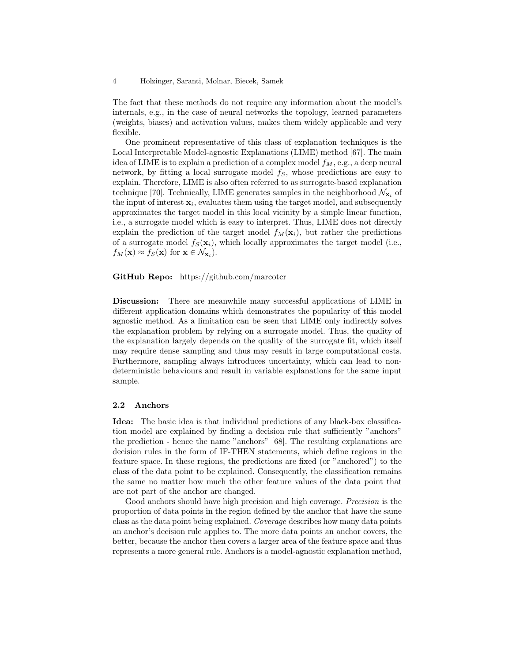The fact that these methods do not require any information about the model's internals, e.g., in the case of neural networks the topology, learned parameters (weights, biases) and activation values, makes them widely applicable and very flexible.

One prominent representative of this class of explanation techniques is the Local Interpretable Model-agnostic Explanations (LIME) method [67]. The main idea of LIME is to explain a prediction of a complex model  $f_M$ , e.g., a deep neural network, by fitting a local surrogate model  $f<sub>S</sub>$ , whose predictions are easy to explain. Therefore, LIME is also often referred to as surrogate-based explanation technique [70]. Technically, LIME generates samples in the neighborhood  $\mathcal{N}_{\mathbf{x}_i}$  of the input of interest  $\mathbf{x}_i$ , evaluates them using the target model, and subsequently approximates the target model in this local vicinity by a simple linear function, i.e., a surrogate model which is easy to interpret. Thus, LIME does not directly explain the prediction of the target model  $f_M(\mathbf{x}_i)$ , but rather the predictions of a surrogate model  $f_S(\mathbf{x}_i)$ , which locally approximates the target model (i.e.,  $f_M(\mathbf{x}) \approx f_S(\mathbf{x})$  for  $\mathbf{x} \in \mathcal{N}_{\mathbf{x}_i}$ .

## GitHub Repo: https://github.com/marcotcr

Discussion: There are meanwhile many successful applications of LIME in different application domains which demonstrates the popularity of this model agnostic method. As a limitation can be seen that LIME only indirectly solves the explanation problem by relying on a surrogate model. Thus, the quality of the explanation largely depends on the quality of the surrogate fit, which itself may require dense sampling and thus may result in large computational costs. Furthermore, sampling always introduces uncertainty, which can lead to nondeterministic behaviours and result in variable explanations for the same input sample.

#### 2.2 Anchors

Idea: The basic idea is that individual predictions of any black-box classification model are explained by finding a decision rule that sufficiently "anchors" the prediction - hence the name "anchors" [68]. The resulting explanations are decision rules in the form of IF-THEN statements, which define regions in the feature space. In these regions, the predictions are fixed (or "anchored") to the class of the data point to be explained. Consequently, the classification remains the same no matter how much the other feature values of the data point that are not part of the anchor are changed.

Good anchors should have high precision and high coverage. Precision is the proportion of data points in the region defined by the anchor that have the same class as the data point being explained. Coverage describes how many data points an anchor's decision rule applies to. The more data points an anchor covers, the better, because the anchor then covers a larger area of the feature space and thus represents a more general rule. Anchors is a model-agnostic explanation method,

<sup>4</sup> Holzinger, Saranti, Molnar, Biecek, Samek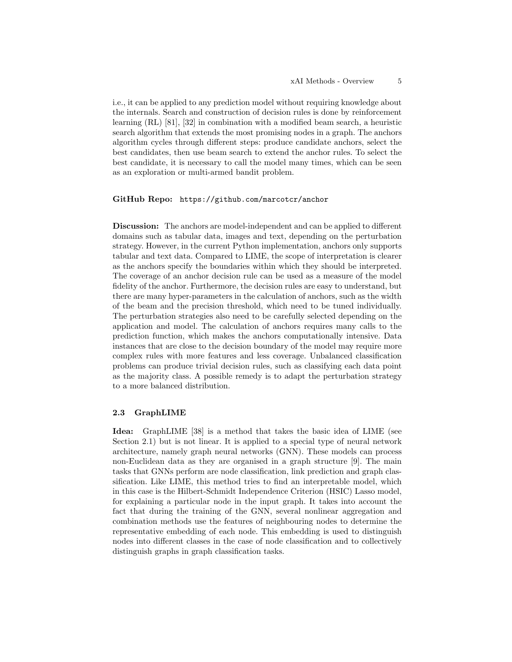i.e., it can be applied to any prediction model without requiring knowledge about the internals. Search and construction of decision rules is done by reinforcement learning (RL) [81], [32] in combination with a modified beam search, a heuristic search algorithm that extends the most promising nodes in a graph. The anchors algorithm cycles through different steps: produce candidate anchors, select the best candidates, then use beam search to extend the anchor rules. To select the best candidate, it is necessary to call the model many times, which can be seen as an exploration or multi-armed bandit problem.

### GitHub Repo: https://github.com/marcotcr/anchor

Discussion: The anchors are model-independent and can be applied to different domains such as tabular data, images and text, depending on the perturbation strategy. However, in the current Python implementation, anchors only supports tabular and text data. Compared to LIME, the scope of interpretation is clearer as the anchors specify the boundaries within which they should be interpreted. The coverage of an anchor decision rule can be used as a measure of the model fidelity of the anchor. Furthermore, the decision rules are easy to understand, but there are many hyper-parameters in the calculation of anchors, such as the width of the beam and the precision threshold, which need to be tuned individually. The perturbation strategies also need to be carefully selected depending on the application and model. The calculation of anchors requires many calls to the prediction function, which makes the anchors computationally intensive. Data instances that are close to the decision boundary of the model may require more complex rules with more features and less coverage. Unbalanced classification problems can produce trivial decision rules, such as classifying each data point as the majority class. A possible remedy is to adapt the perturbation strategy to a more balanced distribution.

## 2.3 GraphLIME

Idea: GraphLIME [38] is a method that takes the basic idea of LIME (see Section 2.1) but is not linear. It is applied to a special type of neural network architecture, namely graph neural networks (GNN). These models can process non-Euclidean data as they are organised in a graph structure [9]. The main tasks that GNNs perform are node classification, link prediction and graph classification. Like LIME, this method tries to find an interpretable model, which in this case is the Hilbert-Schmidt Independence Criterion (HSIC) Lasso model, for explaining a particular node in the input graph. It takes into account the fact that during the training of the GNN, several nonlinear aggregation and combination methods use the features of neighbouring nodes to determine the representative embedding of each node. This embedding is used to distinguish nodes into different classes in the case of node classification and to collectively distinguish graphs in graph classification tasks.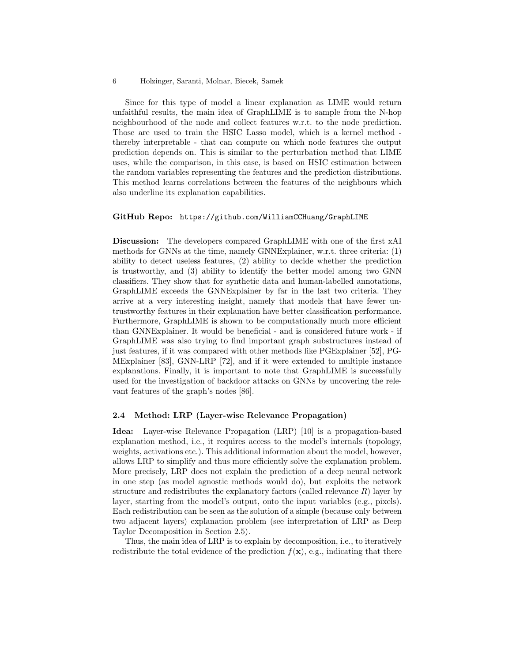Since for this type of model a linear explanation as LIME would return unfaithful results, the main idea of GraphLIME is to sample from the N-hop neighbourhood of the node and collect features w.r.t. to the node prediction. Those are used to train the HSIC Lasso model, which is a kernel method thereby interpretable - that can compute on which node features the output prediction depends on. This is similar to the perturbation method that LIME uses, while the comparison, in this case, is based on HSIC estimation between the random variables representing the features and the prediction distributions. This method learns correlations between the features of the neighbours which also underline its explanation capabilities.

## GitHub Repo: https://github.com/WilliamCCHuang/GraphLIME

Discussion: The developers compared GraphLIME with one of the first xAI methods for GNNs at the time, namely GNNExplainer, w.r.t. three criteria: (1) ability to detect useless features, (2) ability to decide whether the prediction is trustworthy, and (3) ability to identify the better model among two GNN classifiers. They show that for synthetic data and human-labelled annotations, GraphLIME exceeds the GNNExplainer by far in the last two criteria. They arrive at a very interesting insight, namely that models that have fewer untrustworthy features in their explanation have better classification performance. Furthermore, GraphLIME is shown to be computationally much more efficient than GNNExplainer. It would be beneficial - and is considered future work - if GraphLIME was also trying to find important graph substructures instead of just features, if it was compared with other methods like PGExplainer [52], PG-MExplainer [83], GNN-LRP [72], and if it were extended to multiple instance explanations. Finally, it is important to note that GraphLIME is successfully used for the investigation of backdoor attacks on GNNs by uncovering the relevant features of the graph's nodes [86].

#### 2.4 Method: LRP (Layer-wise Relevance Propagation)

Idea: Layer-wise Relevance Propagation (LRP) [10] is a propagation-based explanation method, i.e., it requires access to the model's internals (topology, weights, activations etc.). This additional information about the model, however, allows LRP to simplify and thus more efficiently solve the explanation problem. More precisely, LRP does not explain the prediction of a deep neural network in one step (as model agnostic methods would do), but exploits the network structure and redistributes the explanatory factors (called relevance  $R$ ) layer by layer, starting from the model's output, onto the input variables (e.g., pixels). Each redistribution can be seen as the solution of a simple (because only between two adjacent layers) explanation problem (see interpretation of LRP as Deep Taylor Decomposition in Section 2.5).

Thus, the main idea of LRP is to explain by decomposition, i.e., to iteratively redistribute the total evidence of the prediction  $f(\mathbf{x})$ , e.g., indicating that there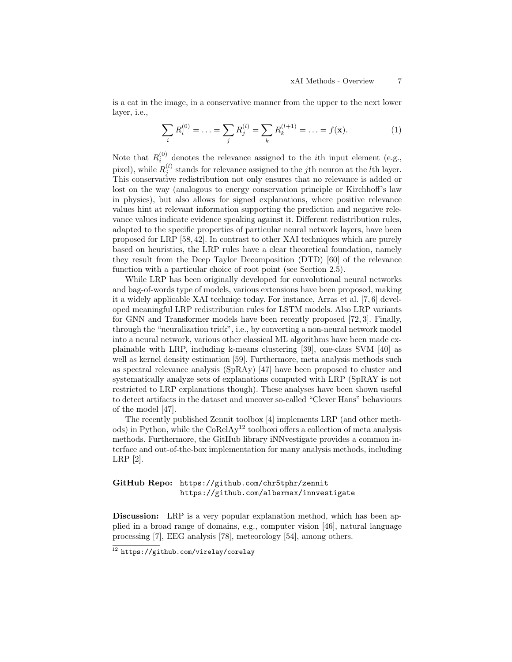is a cat in the image, in a conservative manner from the upper to the next lower layer, i.e.,

$$
\sum_{i} R_i^{(0)} = \ldots = \sum_{j} R_j^{(l)} = \sum_{k} R_k^{(l+1)} = \ldots = f(\mathbf{x}).
$$
 (1)

Note that  $R_i^{(0)}$  denotes the relevance assigned to the *i*th input element (e.g., pixel), while  $R_j^{(l)}$  stands for relevance assigned to the *j*th neuron at the *l*th layer. This conservative redistribution not only ensures that no relevance is added or lost on the way (analogous to energy conservation principle or Kirchhoff's law in physics), but also allows for signed explanations, where positive relevance values hint at relevant information supporting the prediction and negative relevance values indicate evidence speaking against it. Different redistribution rules, adapted to the specific properties of particular neural network layers, have been proposed for LRP [58, 42]. In contrast to other XAI techniques which are purely based on heuristics, the LRP rules have a clear theoretical foundation, namely they result from the Deep Taylor Decomposition (DTD) [60] of the relevance function with a particular choice of root point (see Section 2.5).

While LRP has been originally developed for convolutional neural networks and bag-of-words type of models, various extensions have been proposed, making it a widely applicable XAI techniqe today. For instance, Arras et al. [7, 6] developed meaningful LRP redistribution rules for LSTM models. Also LRP variants for GNN and Transformer models have been recently proposed [72, 3]. Finally, through the "neuralization trick", i.e., by converting a non-neural network model into a neural network, various other classical ML algorithms have been made explainable with LRP, including k-means clustering [39], one-class SVM [40] as well as kernel density estimation [59]. Furthermore, meta analysis methods such as spectral relevance analysis (SpRAy) [47] have been proposed to cluster and systematically analyze sets of explanations computed with LRP (SpRAY is not restricted to LRP explanations though). These analyses have been shown useful to detect artifacts in the dataset and uncover so-called "Clever Hans" behaviours of the model [47].

The recently published Zennit toolbox [4] implements LRP (and other methods) in Python, while the  $\text{CoRelAy}^{12}$  toolboxi offers a collection of meta analysis methods. Furthermore, the GitHub library iNNvestigate provides a common interface and out-of-the-box implementation for many analysis methods, including LRP [2].

## GitHub Repo: https://github.com/chr5tphr/zennit https://github.com/albermax/innvestigate

Discussion: LRP is a very popular explanation method, which has been applied in a broad range of domains, e.g., computer vision [46], natural language processing [7], EEG analysis [78], meteorology [54], among others.

 $\frac{12 \text{ https://github.com/virelay/corelay}}{$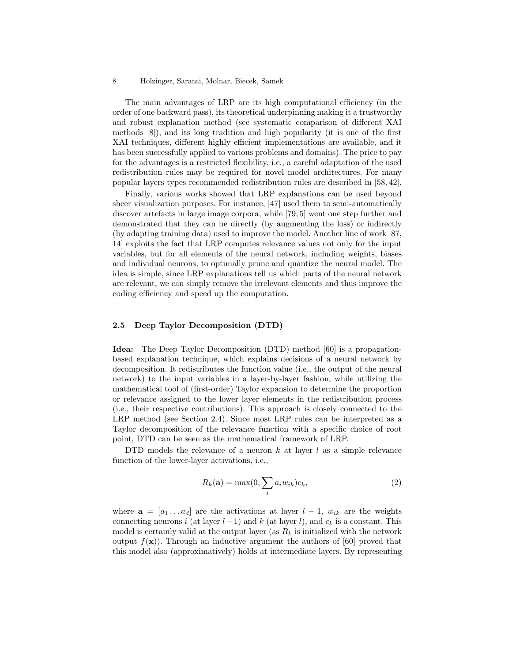The main advantages of LRP are its high computational efficiency (in the order of one backward pass), its theoretical underpinning making it a trustworthy and robust explanation method (see systematic comparison of different XAI methods [8]), and its long tradition and high popularity (it is one of the first XAI techniques, different highly efficient implementations are available, and it has been successfully applied to various problems and domains). The price to pay for the advantages is a restricted flexibility, i.e., a careful adaptation of the used redistribution rules may be required for novel model architectures. For many popular layers types recommended redistribution rules are described in [58, 42].

Finally, various works showed that LRP explanations can be used beyond sheer visualization purposes. For instance, [47] used them to semi-automatically discover artefacts in large image corpora, while [79, 5] went one step further and demonstrated that they can be directly (by augmenting the loss) or indirectly (by adapting training data) used to improve the model. Another line of work [87, 14] exploits the fact that LRP computes relevance values not only for the input variables, but for all elements of the neural network, including weights, biases and individual neurons, to optimally prune and quantize the neural model. The idea is simple, since LRP explanations tell us which parts of the neural network are relevant, we can simply remove the irrelevant elements and thus improve the coding efficiency and speed up the computation.

## 2.5 Deep Taylor Decomposition (DTD)

Idea: The Deep Taylor Decomposition (DTD) method [60] is a propagationbased explanation technique, which explains decisions of a neural network by decomposition. It redistributes the function value (i.e., the output of the neural network) to the input variables in a layer-by-layer fashion, while utilizing the mathematical tool of (first-order) Taylor expansion to determine the proportion or relevance assigned to the lower layer elements in the redistribution process (i.e., their respective contributions). This approach is closely connected to the LRP method (see Section 2.4). Since most LRP rules can be interpreted as a Taylor decomposition of the relevance function with a specific choice of root point, DTD can be seen as the mathematical framework of LRP.

DTD models the relevance of a neuron  $k$  at layer  $l$  as a simple relevance function of the lower-layer activations, i.e.,

$$
R_k(\mathbf{a}) = \max(0, \sum_i a_i w_{ik}) c_k,
$$
\n(2)

where  $\mathbf{a} = [a_1 \dots a_d]$  are the activations at layer  $l-1$ ,  $w_{ik}$  are the weights connecting neurons i (at layer  $l-1$ ) and k (at layer l), and  $c_k$  is a constant. This model is certainly valid at the output layer (as  $R_k$  is initialized with the network output  $f(\mathbf{x})$ . Through an inductive argument the authors of [60] proved that this model also (approximatively) holds at intermediate layers. By representing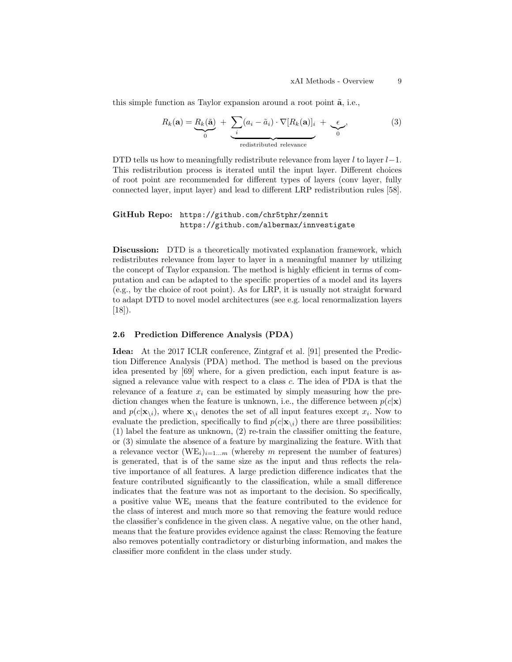this simple function as Taylor expansion around a root point  $\tilde{a}$ , i.e.,

$$
R_k(\mathbf{a}) = \underbrace{R_k(\tilde{\mathbf{a}})}_{0} + \underbrace{\sum_{i} (a_i - \tilde{a}_i) \cdot \nabla [R_k(\mathbf{a})]_i}_{\text{redistributed relevance}} + \underbrace{\epsilon}_{0},
$$
(3)

DTD tells us how to meaningfully redistribute relevance from layer  $l$  to layer  $l-1$ . This redistribution process is iterated until the input layer. Different choices of root point are recommended for different types of layers (conv layer, fully connected layer, input layer) and lead to different LRP redistribution rules [58].

## GitHub Repo: https://github.com/chr5tphr/zennit https://github.com/albermax/innvestigate

Discussion: DTD is a theoretically motivated explanation framework, which redistributes relevance from layer to layer in a meaningful manner by utilizing the concept of Taylor expansion. The method is highly efficient in terms of computation and can be adapted to the specific properties of a model and its layers (e.g., by the choice of root point). As for LRP, it is usually not straight forward to adapt DTD to novel model architectures (see e.g. local renormalization layers  $|18\rangle$ .

#### 2.6 Prediction Difference Analysis (PDA)

Idea: At the 2017 ICLR conference, Zintgraf et al. [91] presented the Prediction Difference Analysis (PDA) method. The method is based on the previous idea presented by [69] where, for a given prediction, each input feature is assigned a relevance value with respect to a class c. The idea of PDA is that the relevance of a feature  $x_i$  can be estimated by simply measuring how the prediction changes when the feature is unknown, i.e., the difference between  $p(c|\mathbf{x})$ and  $p(c|\mathbf{x}_{\setminus i})$ , where  $\mathbf{x}_{\setminus i}$  denotes the set of all input features except  $x_i$ . Now to evaluate the prediction, specifically to find  $p(c|\mathbf{x}_{\setminus i})$  there are three possibilities: (1) label the feature as unknown, (2) re-train the classifier omitting the feature, or (3) simulate the absence of a feature by marginalizing the feature. With that a relevance vector  $(WE_i)_{i=1...m}$  (whereby m represent the number of features) is generated, that is of the same size as the input and thus reflects the relative importance of all features. A large prediction difference indicates that the feature contributed significantly to the classification, while a small difference indicates that the feature was not as important to the decision. So specifically, a positive value  $WE_i$  means that the feature contributed to the evidence for the class of interest and much more so that removing the feature would reduce the classifier's confidence in the given class. A negative value, on the other hand, means that the feature provides evidence against the class: Removing the feature also removes potentially contradictory or disturbing information, and makes the classifier more confident in the class under study.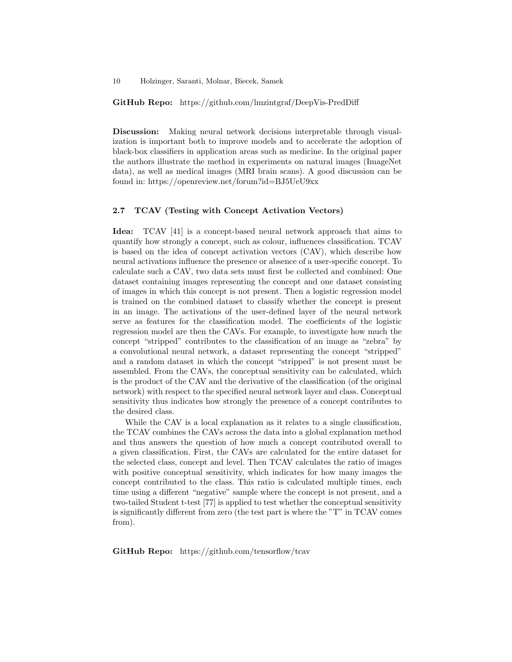GitHub Repo: https://github.com/lmzintgraf/DeepVis-PredDiff

Discussion: Making neural network decisions interpretable through visualization is important both to improve models and to accelerate the adoption of black-box classifiers in application areas such as medicine. In the original paper the authors illustrate the method in experiments on natural images (ImageNet data), as well as medical images (MRI brain scans). A good discussion can be found in: https://openreview.net/forum?id=BJ5UeU9xx

### 2.7 TCAV (Testing with Concept Activation Vectors)

Idea: TCAV [41] is a concept-based neural network approach that aims to quantify how strongly a concept, such as colour, influences classification. TCAV is based on the idea of concept activation vectors (CAV), which describe how neural activations influence the presence or absence of a user-specific concept. To calculate such a CAV, two data sets must first be collected and combined: One dataset containing images representing the concept and one dataset consisting of images in which this concept is not present. Then a logistic regression model is trained on the combined dataset to classify whether the concept is present in an image. The activations of the user-defined layer of the neural network serve as features for the classification model. The coefficients of the logistic regression model are then the CAVs. For example, to investigate how much the concept "stripped" contributes to the classification of an image as "zebra" by a convolutional neural network, a dataset representing the concept "stripped" and a random dataset in which the concept "stripped" is not present must be assembled. From the CAVs, the conceptual sensitivity can be calculated, which is the product of the CAV and the derivative of the classification (of the original network) with respect to the specified neural network layer and class. Conceptual sensitivity thus indicates how strongly the presence of a concept contributes to the desired class.

While the CAV is a local explanation as it relates to a single classification, the TCAV combines the CAVs across the data into a global explanation method and thus answers the question of how much a concept contributed overall to a given classification. First, the CAVs are calculated for the entire dataset for the selected class, concept and level. Then TCAV calculates the ratio of images with positive conceptual sensitivity, which indicates for how many images the concept contributed to the class. This ratio is calculated multiple times, each time using a different "negative" sample where the concept is not present, and a two-tailed Student t-test [77] is applied to test whether the conceptual sensitivity is significantly different from zero (the test part is where the "T" in TCAV comes from).

GitHub Repo: https://github.com/tensorflow/tcav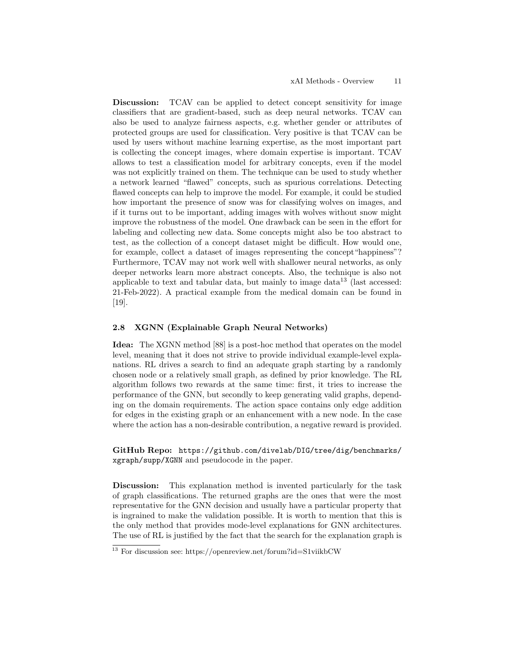Discussion: TCAV can be applied to detect concept sensitivity for image classifiers that are gradient-based, such as deep neural networks. TCAV can also be used to analyze fairness aspects, e.g. whether gender or attributes of protected groups are used for classification. Very positive is that TCAV can be used by users without machine learning expertise, as the most important part is collecting the concept images, where domain expertise is important. TCAV allows to test a classification model for arbitrary concepts, even if the model was not explicitly trained on them. The technique can be used to study whether a network learned "flawed" concepts, such as spurious correlations. Detecting flawed concepts can help to improve the model. For example, it could be studied how important the presence of snow was for classifying wolves on images, and if it turns out to be important, adding images with wolves without snow might improve the robustness of the model. One drawback can be seen in the effort for labeling and collecting new data. Some concepts might also be too abstract to test, as the collection of a concept dataset might be difficult. How would one, for example, collect a dataset of images representing the concept"happiness"? Furthermore, TCAV may not work well with shallower neural networks, as only deeper networks learn more abstract concepts. Also, the technique is also not applicable to text and tabular data, but mainly to image data<sup>13</sup> (last accessed: 21-Feb-2022). A practical example from the medical domain can be found in [19].

## 2.8 XGNN (Explainable Graph Neural Networks)

Idea: The XGNN method [88] is a post-hoc method that operates on the model level, meaning that it does not strive to provide individual example-level explanations. RL drives a search to find an adequate graph starting by a randomly chosen node or a relatively small graph, as defined by prior knowledge. The RL algorithm follows two rewards at the same time: first, it tries to increase the performance of the GNN, but secondly to keep generating valid graphs, depending on the domain requirements. The action space contains only edge addition for edges in the existing graph or an enhancement with a new node. In the case where the action has a non-desirable contribution, a negative reward is provided.

GitHub Repo: https://github.com/divelab/DIG/tree/dig/benchmarks/ xgraph/supp/XGNN and pseudocode in the paper.

Discussion: This explanation method is invented particularly for the task of graph classifications. The returned graphs are the ones that were the most representative for the GNN decision and usually have a particular property that is ingrained to make the validation possible. It is worth to mention that this is the only method that provides mode-level explanations for GNN architectures. The use of RL is justified by the fact that the search for the explanation graph is

<sup>13</sup> For discussion see: https://openreview.net/forum?id=S1viikbCW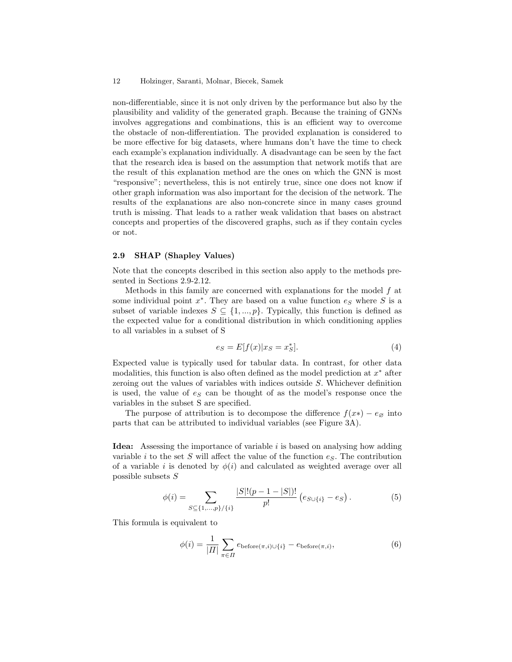non-differentiable, since it is not only driven by the performance but also by the plausibility and validity of the generated graph. Because the training of GNNs involves aggregations and combinations, this is an efficient way to overcome the obstacle of non-differentiation. The provided explanation is considered to be more effective for big datasets, where humans don't have the time to check each example's explanation individually. A disadvantage can be seen by the fact that the research idea is based on the assumption that network motifs that are the result of this explanation method are the ones on which the GNN is most "responsive"; nevertheless, this is not entirely true, since one does not know if other graph information was also important for the decision of the network. The results of the explanations are also non-concrete since in many cases ground truth is missing. That leads to a rather weak validation that bases on abstract concepts and properties of the discovered graphs, such as if they contain cycles or not.

### 2.9 SHAP (Shapley Values)

Note that the concepts described in this section also apply to the methods presented in Sections 2.9-2.12.

Methods in this family are concerned with explanations for the model f at some individual point  $x^*$ . They are based on a value function  $e_S$  where S is a subset of variable indexes  $S \subseteq \{1, ..., p\}$ . Typically, this function is defined as the expected value for a conditional distribution in which conditioning applies to all variables in a subset of S

$$
e_S = E[f(x)|x_S = x_S^*].
$$
\n(4)

Expected value is typically used for tabular data. In contrast, for other data modalities, this function is also often defined as the model prediction at  $x^*$  after zeroing out the values of variables with indices outside S. Whichever definition is used, the value of  $e_S$  can be thought of as the model's response once the variables in the subset S are specified.

The purpose of attribution is to decompose the difference  $f(x*) - e_{\emptyset}$  into parts that can be attributed to individual variables (see Figure 3A).

Idea: Assessing the importance of variable  $i$  is based on analysing how adding variable i to the set S will affect the value of the function  $e_S$ . The contribution of a variable i is denoted by  $\phi(i)$  and calculated as weighted average over all possible subsets S

$$
\phi(i) = \sum_{S \subseteq \{1, \dots, p\}/\{i\}} \frac{|S|!(p-1-|S|)!}{p!} \left(e_{S \cup \{i\}} - e_S\right). \tag{5}
$$

This formula is equivalent to

$$
\phi(i) = \frac{1}{|II|} \sum_{\pi \in \Pi} e_{\text{before}(\pi, i) \cup \{i\}} - e_{\text{before}(\pi, i)},
$$
\n(6)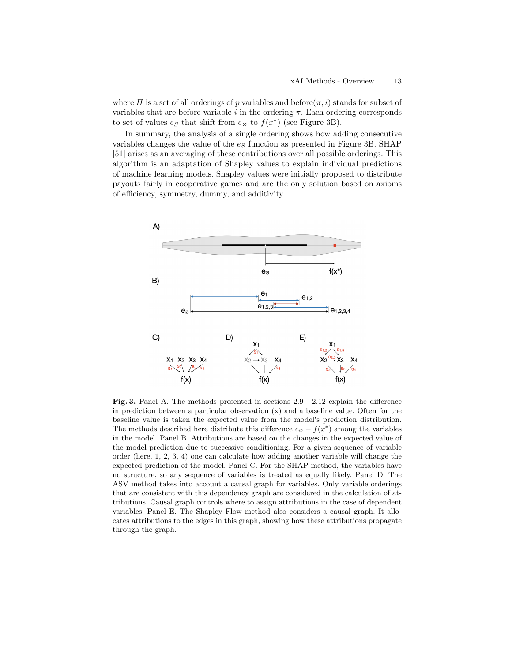where  $\Pi$  is a set of all orderings of p variables and before  $(\pi, i)$  stands for subset of variables that are before variable  $i$  in the ordering  $\pi$ . Each ordering corresponds to set of values  $e_S$  that shift from  $e_{\emptyset}$  to  $f(x^*)$  (see Figure 3B).

In summary, the analysis of a single ordering shows how adding consecutive variables changes the value of the  $e<sub>S</sub>$  function as presented in Figure 3B. SHAP [51] arises as an averaging of these contributions over all possible orderings. This algorithm is an adaptation of Shapley values to explain individual predictions of machine learning models. Shapley values were initially proposed to distribute payouts fairly in cooperative games and are the only solution based on axioms of efficiency, symmetry, dummy, and additivity.



Fig. 3. Panel A. The methods presented in sections 2.9 - 2.12 explain the difference in prediction between a particular observation (x) and a baseline value. Often for the baseline value is taken the expected value from the model's prediction distribution. The methods described here distribute this difference  $e_{\emptyset} - f(x^*)$  among the variables in the model. Panel B. Attributions are based on the changes in the expected value of the model prediction due to successive conditioning. For a given sequence of variable order (here, 1, 2, 3, 4) one can calculate how adding another variable will change the expected prediction of the model. Panel C. For the SHAP method, the variables have no structure, so any sequence of variables is treated as equally likely. Panel D. The ASV method takes into account a causal graph for variables. Only variable orderings that are consistent with this dependency graph are considered in the calculation of attributions. Causal graph controls where to assign attributions in the case of dependent variables. Panel E. The Shapley Flow method also considers a causal graph. It allocates attributions to the edges in this graph, showing how these attributions propagate through the graph.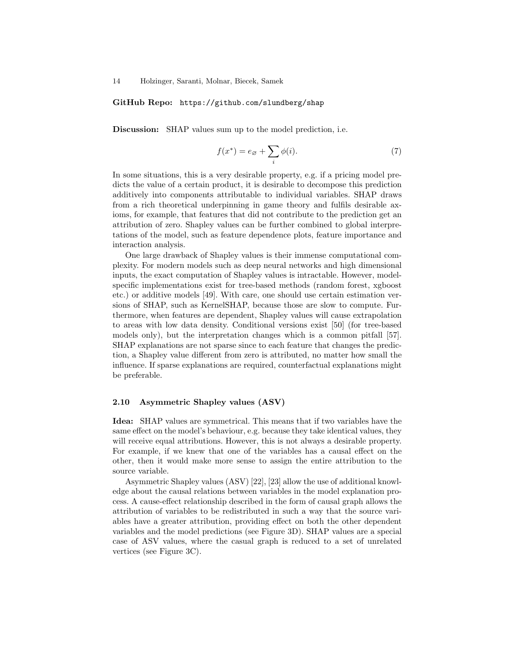## GitHub Repo: https://github.com/slundberg/shap

Discussion: SHAP values sum up to the model prediction, i.e.

$$
f(x^*) = e_{\varnothing} + \sum_{i} \phi(i). \tag{7}
$$

In some situations, this is a very desirable property, e.g. if a pricing model predicts the value of a certain product, it is desirable to decompose this prediction additively into components attributable to individual variables. SHAP draws from a rich theoretical underpinning in game theory and fulfils desirable axioms, for example, that features that did not contribute to the prediction get an attribution of zero. Shapley values can be further combined to global interpretations of the model, such as feature dependence plots, feature importance and interaction analysis.

One large drawback of Shapley values is their immense computational complexity. For modern models such as deep neural networks and high dimensional inputs, the exact computation of Shapley values is intractable. However, modelspecific implementations exist for tree-based methods (random forest, xgboost etc.) or additive models [49]. With care, one should use certain estimation versions of SHAP, such as KernelSHAP, because those are slow to compute. Furthermore, when features are dependent, Shapley values will cause extrapolation to areas with low data density. Conditional versions exist [50] (for tree-based models only), but the interpretation changes which is a common pitfall [57]. SHAP explanations are not sparse since to each feature that changes the prediction, a Shapley value different from zero is attributed, no matter how small the influence. If sparse explanations are required, counterfactual explanations might be preferable.

#### 2.10 Asymmetric Shapley values (ASV)

Idea: SHAP values are symmetrical. This means that if two variables have the same effect on the model's behaviour, e.g. because they take identical values, they will receive equal attributions. However, this is not always a desirable property. For example, if we knew that one of the variables has a causal effect on the other, then it would make more sense to assign the entire attribution to the source variable.

Asymmetric Shapley values (ASV) [22], [23] allow the use of additional knowledge about the causal relations between variables in the model explanation process. A cause-effect relationship described in the form of causal graph allows the attribution of variables to be redistributed in such a way that the source variables have a greater attribution, providing effect on both the other dependent variables and the model predictions (see Figure 3D). SHAP values are a special case of ASV values, where the casual graph is reduced to a set of unrelated vertices (see Figure 3C).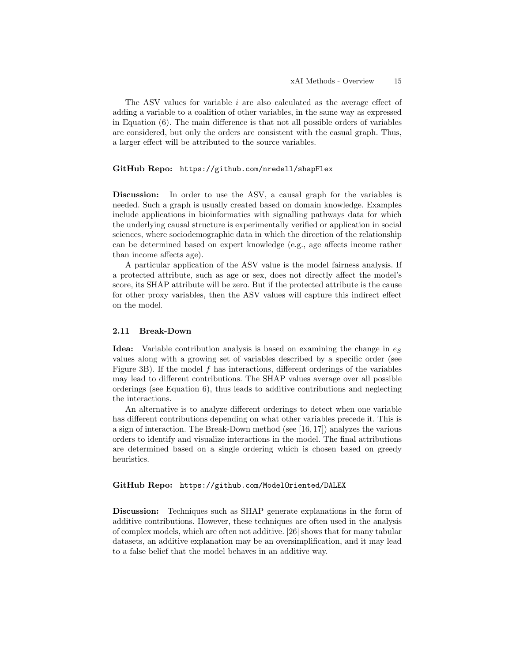The ASV values for variable  $i$  are also calculated as the average effect of adding a variable to a coalition of other variables, in the same way as expressed in Equation (6). The main difference is that not all possible orders of variables are considered, but only the orders are consistent with the casual graph. Thus, a larger effect will be attributed to the source variables.

#### GitHub Repo: https://github.com/nredell/shapFlex

Discussion: In order to use the ASV, a causal graph for the variables is needed. Such a graph is usually created based on domain knowledge. Examples include applications in bioinformatics with signalling pathways data for which the underlying causal structure is experimentally verified or application in social sciences, where sociodemographic data in which the direction of the relationship can be determined based on expert knowledge (e.g., age affects income rather than income affects age).

A particular application of the ASV value is the model fairness analysis. If a protected attribute, such as age or sex, does not directly affect the model's score, its SHAP attribute will be zero. But if the protected attribute is the cause for other proxy variables, then the ASV values will capture this indirect effect on the model.

### 2.11 Break-Down

Idea: Variable contribution analysis is based on examining the change in  $e_S$ values along with a growing set of variables described by a specific order (see Figure 3B). If the model f has interactions, different orderings of the variables may lead to different contributions. The SHAP values average over all possible orderings (see Equation 6), thus leads to additive contributions and neglecting the interactions.

An alternative is to analyze different orderings to detect when one variable has different contributions depending on what other variables precede it. This is a sign of interaction. The Break-Down method (see [16, 17]) analyzes the various orders to identify and visualize interactions in the model. The final attributions are determined based on a single ordering which is chosen based on greedy heuristics.

#### GitHub Repo: https://github.com/ModelOriented/DALEX

Discussion: Techniques such as SHAP generate explanations in the form of additive contributions. However, these techniques are often used in the analysis of complex models, which are often not additive. [26] shows that for many tabular datasets, an additive explanation may be an oversimplification, and it may lead to a false belief that the model behaves in an additive way.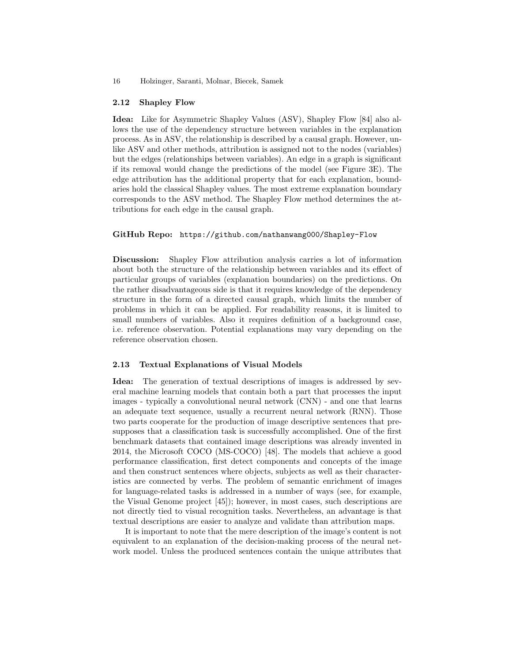#### 2.12 Shapley Flow

Idea: Like for Asymmetric Shapley Values (ASV), Shapley Flow [84] also allows the use of the dependency structure between variables in the explanation process. As in ASV, the relationship is described by a causal graph. However, unlike ASV and other methods, attribution is assigned not to the nodes (variables) but the edges (relationships between variables). An edge in a graph is significant if its removal would change the predictions of the model (see Figure 3E). The edge attribution has the additional property that for each explanation, boundaries hold the classical Shapley values. The most extreme explanation boundary corresponds to the ASV method. The Shapley Flow method determines the attributions for each edge in the causal graph.

## GitHub Repo: https://github.com/nathanwang000/Shapley-Flow

Discussion: Shapley Flow attribution analysis carries a lot of information about both the structure of the relationship between variables and its effect of particular groups of variables (explanation boundaries) on the predictions. On the rather disadvantageous side is that it requires knowledge of the dependency structure in the form of a directed causal graph, which limits the number of problems in which it can be applied. For readability reasons, it is limited to small numbers of variables. Also it requires definition of a background case, i.e. reference observation. Potential explanations may vary depending on the reference observation chosen.

#### 2.13 Textual Explanations of Visual Models

Idea: The generation of textual descriptions of images is addressed by several machine learning models that contain both a part that processes the input images - typically a convolutional neural network (CNN) - and one that learns an adequate text sequence, usually a recurrent neural network (RNN). Those two parts cooperate for the production of image descriptive sentences that presupposes that a classification task is successfully accomplished. One of the first benchmark datasets that contained image descriptions was already invented in 2014, the Microsoft COCO (MS-COCO) [48]. The models that achieve a good performance classification, first detect components and concepts of the image and then construct sentences where objects, subjects as well as their characteristics are connected by verbs. The problem of semantic enrichment of images for language-related tasks is addressed in a number of ways (see, for example, the Visual Genome project [45]); however, in most cases, such descriptions are not directly tied to visual recognition tasks. Nevertheless, an advantage is that textual descriptions are easier to analyze and validate than attribution maps.

It is important to note that the mere description of the image's content is not equivalent to an explanation of the decision-making process of the neural network model. Unless the produced sentences contain the unique attributes that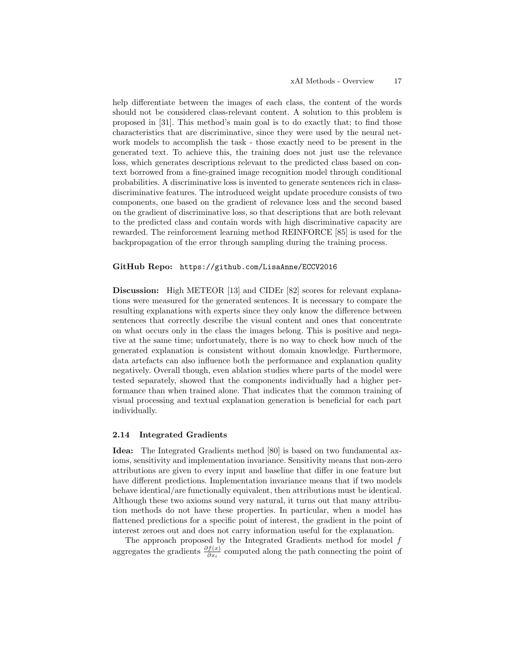help differentiate between the images of each class, the content of the words should not be considered class-relevant content. A solution to this problem is proposed in [31]. This method's main goal is to do exactly that; to find those characteristics that are discriminative, since they were used by the neural network models to accomplish the task - those exactly need to be present in the generated text. To achieve this, the training does not just use the relevance loss, which generates descriptions relevant to the predicted class based on context borrowed from a fine-grained image recognition model through conditional probabilities. A discriminative loss is invented to generate sentences rich in classdiscriminative features. The introduced weight update procedure consists of two components, one based on the gradient of relevance loss and the second based on the gradient of discriminative loss, so that descriptions that are both relevant to the predicted class and contain words with high discriminative capacity are rewarded. The reinforcement learning method REINFORCE [85] is used for the backpropagation of the error through sampling during the training process.

## GitHub Repo: https://github.com/LisaAnne/ECCV2016

Discussion: High METEOR [13] and CIDEr [82] scores for relevant explanations were measured for the generated sentences. It is necessary to compare the resulting explanations with experts since they only know the difference between sentences that correctly describe the visual content and ones that concentrate on what occurs only in the class the images belong. This is positive and negative at the same time; unfortunately, there is no way to check how much of the generated explanation is consistent without domain knowledge. Furthermore, data artefacts can also influence both the performance and explanation quality negatively. Overall though, even ablation studies where parts of the model were tested separately, showed that the components individually had a higher performance than when trained alone. That indicates that the common training of visual processing and textual explanation generation is beneficial for each part individually.

### 2.14 Integrated Gradients

Idea: The Integrated Gradients method [80] is based on two fundamental axioms, sensitivity and implementation invariance. Sensitivity means that non-zero attributions are given to every input and baseline that differ in one feature but have different predictions. Implementation invariance means that if two models behave identical/are functionally equivalent, then attributions must be identical. Although these two axioms sound very natural, it turns out that many attribution methods do not have these properties. In particular, when a model has flattened predictions for a specific point of interest, the gradient in the point of interest zeroes out and does not carry information useful for the explanation.

The approach proposed by the Integrated Gradients method for model  $f$ aggregates the gradients  $\frac{\partial f(x)}{\partial x_i}$  computed along the path connecting the point of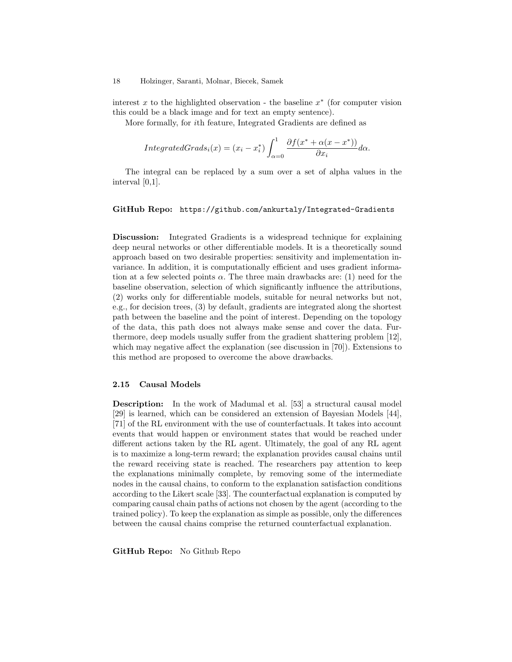interest  $x$  to the highlighted observation - the baseline  $x^*$  (for computer vision this could be a black image and for text an empty sentence).

More formally, for ith feature, Integrated Gradients are defined as

IntegratedGrads<sub>i</sub>(x) = 
$$
(x_i - x_i^*) \int_{\alpha=0}^1 \frac{\partial f(x^* + \alpha(x - x^*))}{\partial x_i} d\alpha
$$
.

The integral can be replaced by a sum over a set of alpha values in the interval [0,1].

#### GitHub Repo: https://github.com/ankurtaly/Integrated-Gradients

Discussion: Integrated Gradients is a widespread technique for explaining deep neural networks or other differentiable models. It is a theoretically sound approach based on two desirable properties: sensitivity and implementation invariance. In addition, it is computationally efficient and uses gradient information at a few selected points  $\alpha$ . The three main drawbacks are: (1) need for the baseline observation, selection of which significantly influence the attributions, (2) works only for differentiable models, suitable for neural networks but not, e.g., for decision trees, (3) by default, gradients are integrated along the shortest path between the baseline and the point of interest. Depending on the topology of the data, this path does not always make sense and cover the data. Furthermore, deep models usually suffer from the gradient shattering problem [12], which may negative affect the explanation (see discussion in [70]). Extensions to this method are proposed to overcome the above drawbacks.

### 2.15 Causal Models

Description: In the work of Madumal et al. [53] a structural causal model [29] is learned, which can be considered an extension of Bayesian Models [44], [71] of the RL environment with the use of counterfactuals. It takes into account events that would happen or environment states that would be reached under different actions taken by the RL agent. Ultimately, the goal of any RL agent is to maximize a long-term reward; the explanation provides causal chains until the reward receiving state is reached. The researchers pay attention to keep the explanations minimally complete, by removing some of the intermediate nodes in the causal chains, to conform to the explanation satisfaction conditions according to the Likert scale [33]. The counterfactual explanation is computed by comparing causal chain paths of actions not chosen by the agent (according to the trained policy). To keep the explanation as simple as possible, only the differences between the causal chains comprise the returned counterfactual explanation.

GitHub Repo: No Github Repo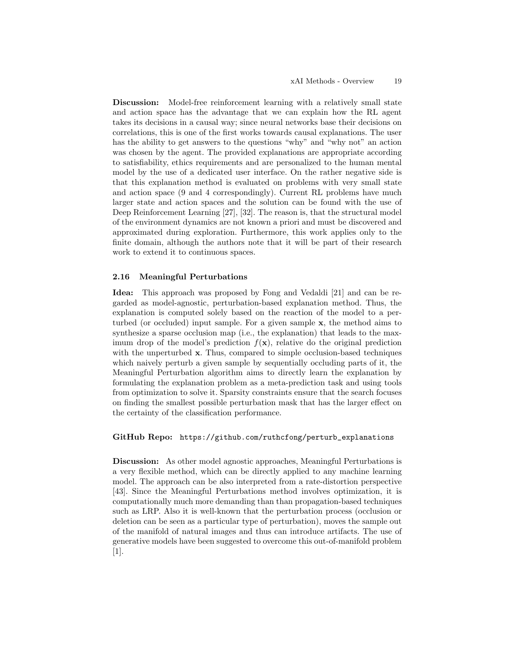Discussion: Model-free reinforcement learning with a relatively small state and action space has the advantage that we can explain how the RL agent takes its decisions in a causal way; since neural networks base their decisions on correlations, this is one of the first works towards causal explanations. The user has the ability to get answers to the questions "why" and "why not" an action was chosen by the agent. The provided explanations are appropriate according to satisfiability, ethics requirements and are personalized to the human mental model by the use of a dedicated user interface. On the rather negative side is that this explanation method is evaluated on problems with very small state and action space (9 and 4 correspondingly). Current RL problems have much larger state and action spaces and the solution can be found with the use of Deep Reinforcement Learning [27], [32]. The reason is, that the structural model of the environment dynamics are not known a priori and must be discovered and approximated during exploration. Furthermore, this work applies only to the finite domain, although the authors note that it will be part of their research work to extend it to continuous spaces.

## 2.16 Meaningful Perturbations

Idea: This approach was proposed by Fong and Vedaldi [21] and can be regarded as model-agnostic, perturbation-based explanation method. Thus, the explanation is computed solely based on the reaction of the model to a perturbed (or occluded) input sample. For a given sample  $x$ , the method aims to synthesize a sparse occlusion map (i.e., the explanation) that leads to the maximum drop of the model's prediction  $f(\mathbf{x})$ , relative do the original prediction with the unperturbed x. Thus, compared to simple occlusion-based techniques which naively perturb a given sample by sequentially occluding parts of it, the Meaningful Perturbation algorithm aims to directly learn the explanation by formulating the explanation problem as a meta-prediction task and using tools from optimization to solve it. Sparsity constraints ensure that the search focuses on finding the smallest possible perturbation mask that has the larger effect on the certainty of the classification performance.

## GitHub Repo: https://github.com/ruthcfong/perturb\_explanations

Discussion: As other model agnostic approaches, Meaningful Perturbations is a very flexible method, which can be directly applied to any machine learning model. The approach can be also interpreted from a rate-distortion perspective [43]. Since the Meaningful Perturbations method involves optimization, it is computationally much more demanding than than propagation-based techniques such as LRP. Also it is well-known that the perturbation process (occlusion or deletion can be seen as a particular type of perturbation), moves the sample out of the manifold of natural images and thus can introduce artifacts. The use of generative models have been suggested to overcome this out-of-manifold problem [1].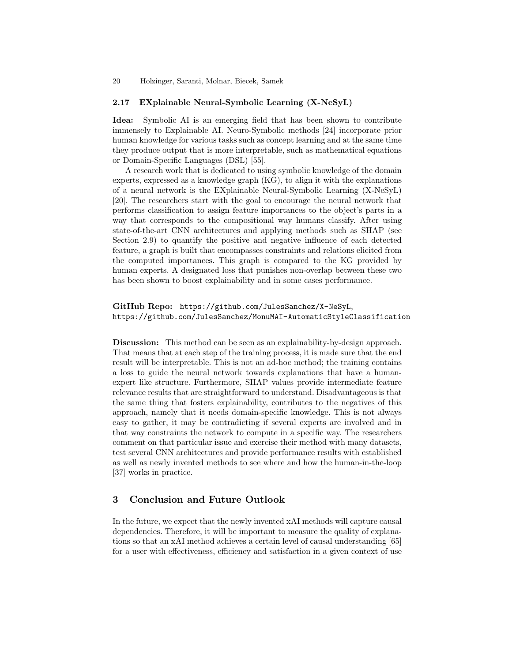## 2.17 EXplainable Neural-Symbolic Learning (X-NeSyL)

Idea: Symbolic AI is an emerging field that has been shown to contribute immensely to Explainable AI. Neuro-Symbolic methods [24] incorporate prior human knowledge for various tasks such as concept learning and at the same time they produce output that is more interpretable, such as mathematical equations or Domain-Specific Languages (DSL) [55].

A research work that is dedicated to using symbolic knowledge of the domain experts, expressed as a knowledge graph (KG), to align it with the explanations of a neural network is the EXplainable Neural-Symbolic Learning (X-NeSyL) [20]. The researchers start with the goal to encourage the neural network that performs classification to assign feature importances to the object's parts in a way that corresponds to the compositional way humans classify. After using state-of-the-art CNN architectures and applying methods such as SHAP (see Section 2.9) to quantify the positive and negative influence of each detected feature, a graph is built that encompasses constraints and relations elicited from the computed importances. This graph is compared to the KG provided by human experts. A designated loss that punishes non-overlap between these two has been shown to boost explainability and in some cases performance.

## GitHub Repo: https://github.com/JulesSanchez/X-NeSyL, https://github.com/JulesSanchez/MonuMAI-AutomaticStyleClassification

Discussion: This method can be seen as an explainability-by-design approach. That means that at each step of the training process, it is made sure that the end result will be interpretable. This is not an ad-hoc method; the training contains a loss to guide the neural network towards explanations that have a humanexpert like structure. Furthermore, SHAP values provide intermediate feature relevance results that are straightforward to understand. Disadvantageous is that the same thing that fosters explainability, contributes to the negatives of this approach, namely that it needs domain-specific knowledge. This is not always easy to gather, it may be contradicting if several experts are involved and in that way constraints the network to compute in a specific way. The researchers comment on that particular issue and exercise their method with many datasets, test several CNN architectures and provide performance results with established as well as newly invented methods to see where and how the human-in-the-loop [37] works in practice.

## 3 Conclusion and Future Outlook

In the future, we expect that the newly invented xAI methods will capture causal dependencies. Therefore, it will be important to measure the quality of explanations so that an xAI method achieves a certain level of causal understanding [65] for a user with effectiveness, efficiency and satisfaction in a given context of use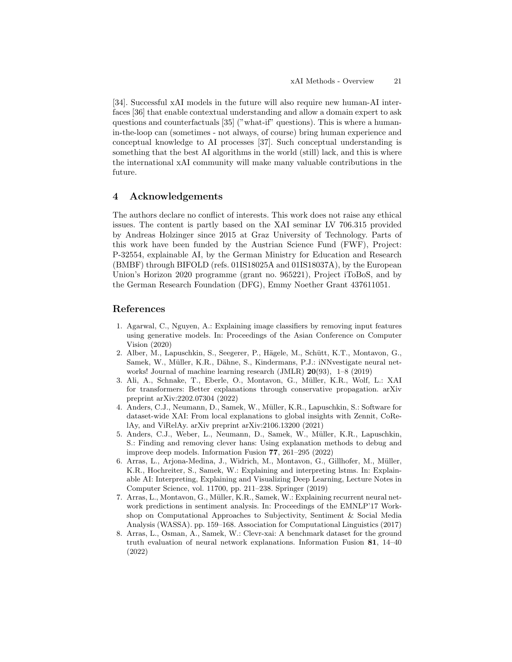[34]. Successful xAI models in the future will also require new human-AI interfaces [36] that enable contextual understanding and allow a domain expert to ask questions and counterfactuals [35] ("what-if" questions). This is where a humanin-the-loop can (sometimes - not always, of course) bring human experience and conceptual knowledge to AI processes [37]. Such conceptual understanding is something that the best AI algorithms in the world (still) lack, and this is where the international xAI community will make many valuable contributions in the future.

## 4 Acknowledgements

The authors declare no conflict of interests. This work does not raise any ethical issues. The content is partly based on the XAI seminar LV 706.315 provided by Andreas Holzinger since 2015 at Graz University of Technology. Parts of this work have been funded by the Austrian Science Fund (FWF), Project: P-32554, explainable AI, by the German Ministry for Education and Research (BMBF) through BIFOLD (refs. 01IS18025A and 01IS18037A), by the European Union's Horizon 2020 programme (grant no. 965221), Project iToBoS, and by the German Research Foundation (DFG), Emmy Noether Grant 437611051.

## References

- 1. Agarwal, C., Nguyen, A.: Explaining image classifiers by removing input features using generative models. In: Proceedings of the Asian Conference on Computer Vision (2020)
- 2. Alber, M., Lapuschkin, S., Seegerer, P., H¨agele, M., Sch¨utt, K.T., Montavon, G., Samek, W., Müller, K.R., Dähne, S., Kindermans, P.J.: iNNvestigate neural networks! Journal of machine learning research (JMLR) 20(93), 1–8 (2019)
- 3. Ali, A., Schnake, T., Eberle, O., Montavon, G., Müller, K.R., Wolf, L.: XAI for transformers: Better explanations through conservative propagation. arXiv preprint arXiv:2202.07304 (2022)
- 4. Anders, C.J., Neumann, D., Samek, W., M¨uller, K.R., Lapuschkin, S.: Software for dataset-wide XAI: From local explanations to global insights with Zennit, CoRelAy, and ViRelAy. arXiv preprint arXiv:2106.13200 (2021)
- 5. Anders, C.J., Weber, L., Neumann, D., Samek, W., Müller, K.R., Lapuschkin, S.: Finding and removing clever hans: Using explanation methods to debug and improve deep models. Information Fusion 77, 261–295 (2022)
- 6. Arras, L., Arjona-Medina, J., Widrich, M., Montavon, G., Gillhofer, M., Müller, K.R., Hochreiter, S., Samek, W.: Explaining and interpreting lstms. In: Explainable AI: Interpreting, Explaining and Visualizing Deep Learning, Lecture Notes in Computer Science, vol. 11700, pp. 211–238. Springer (2019)
- 7. Arras, L., Montavon, G., Müller, K.R., Samek, W.: Explaining recurrent neural network predictions in sentiment analysis. In: Proceedings of the EMNLP'17 Workshop on Computational Approaches to Subjectivity, Sentiment & Social Media Analysis (WASSA). pp. 159–168. Association for Computational Linguistics (2017)
- 8. Arras, L., Osman, A., Samek, W.: Clevr-xai: A benchmark dataset for the ground truth evaluation of neural network explanations. Information Fusion 81, 14–40 (2022)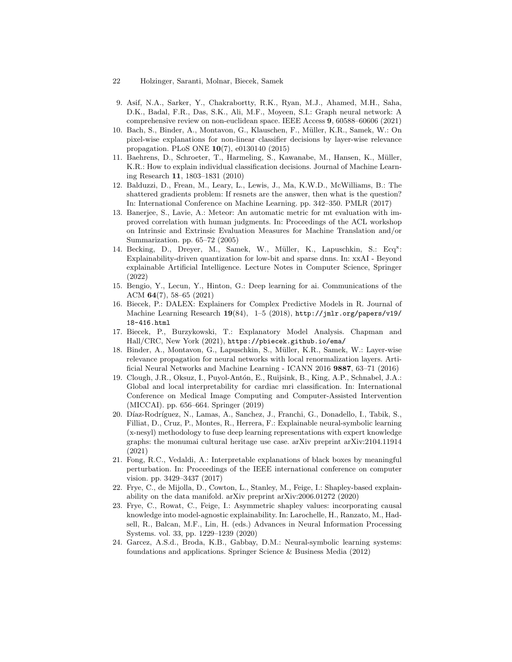- 22 Holzinger, Saranti, Molnar, Biecek, Samek
- 9. Asif, N.A., Sarker, Y., Chakrabortty, R.K., Ryan, M.J., Ahamed, M.H., Saha, D.K., Badal, F.R., Das, S.K., Ali, M.F., Moyeen, S.I.: Graph neural network: A comprehensive review on non-euclidean space. IEEE Access 9, 60588–60606 (2021)
- 10. Bach, S., Binder, A., Montavon, G., Klauschen, F., M¨uller, K.R., Samek, W.: On pixel-wise explanations for non-linear classifier decisions by layer-wise relevance propagation. PLoS ONE 10(7), e0130140 (2015)
- 11. Baehrens, D., Schroeter, T., Harmeling, S., Kawanabe, M., Hansen, K., M¨uller, K.R.: How to explain individual classification decisions. Journal of Machine Learning Research 11, 1803–1831 (2010)
- 12. Balduzzi, D., Frean, M., Leary, L., Lewis, J., Ma, K.W.D., McWilliams, B.: The shattered gradients problem: If resnets are the answer, then what is the question? In: International Conference on Machine Learning. pp. 342–350. PMLR (2017)
- 13. Banerjee, S., Lavie, A.: Meteor: An automatic metric for mt evaluation with improved correlation with human judgments. In: Proceedings of the ACL workshop on Intrinsic and Extrinsic Evaluation Measures for Machine Translation and/or Summarization. pp. 65–72 (2005)
- 14. Becking, D., Dreyer, M., Samek, W., Müller, K., Lapuschkin, S.: Ecq<sup>x</sup>: Explainability-driven quantization for low-bit and sparse dnns. In: xxAI - Beyond explainable Artificial Intelligence. Lecture Notes in Computer Science, Springer (2022)
- 15. Bengio, Y., Lecun, Y., Hinton, G.: Deep learning for ai. Communications of the ACM 64(7), 58–65 (2021)
- 16. Biecek, P.: DALEX: Explainers for Complex Predictive Models in R. Journal of Machine Learning Research 19(84), 1–5 (2018), http://jmlr.org/papers/v19/ 18-416.html
- 17. Biecek, P., Burzykowski, T.: Explanatory Model Analysis. Chapman and Hall/CRC, New York (2021), https://pbiecek.github.io/ema/
- 18. Binder, A., Montavon, G., Lapuschkin, S., Müller, K.R., Samek, W.: Layer-wise relevance propagation for neural networks with local renormalization layers. Artificial Neural Networks and Machine Learning - ICANN 2016 9887, 63–71 (2016)
- 19. Clough, J.R., Oksuz, I., Puyol-Antón, E., Ruijsink, B., King, A.P., Schnabel, J.A.: Global and local interpretability for cardiac mri classification. In: International Conference on Medical Image Computing and Computer-Assisted Intervention (MICCAI). pp. 656–664. Springer (2019)
- 20. Díaz-Rodríguez, N., Lamas, A., Sanchez, J., Franchi, G., Donadello, I., Tabik, S., Filliat, D., Cruz, P., Montes, R., Herrera, F.: Explainable neural-symbolic learning (x-nesyl) methodology to fuse deep learning representations with expert knowledge graphs: the monumai cultural heritage use case. arXiv preprint arXiv:2104.11914 (2021)
- 21. Fong, R.C., Vedaldi, A.: Interpretable explanations of black boxes by meaningful perturbation. In: Proceedings of the IEEE international conference on computer vision. pp. 3429–3437 (2017)
- 22. Frye, C., de Mijolla, D., Cowton, L., Stanley, M., Feige, I.: Shapley-based explainability on the data manifold. arXiv preprint arXiv:2006.01272 (2020)
- 23. Frye, C., Rowat, C., Feige, I.: Asymmetric shapley values: incorporating causal knowledge into model-agnostic explainability. In: Larochelle, H., Ranzato, M., Hadsell, R., Balcan, M.F., Lin, H. (eds.) Advances in Neural Information Processing Systems. vol. 33, pp. 1229–1239 (2020)
- 24. Garcez, A.S.d., Broda, K.B., Gabbay, D.M.: Neural-symbolic learning systems: foundations and applications. Springer Science & Business Media (2012)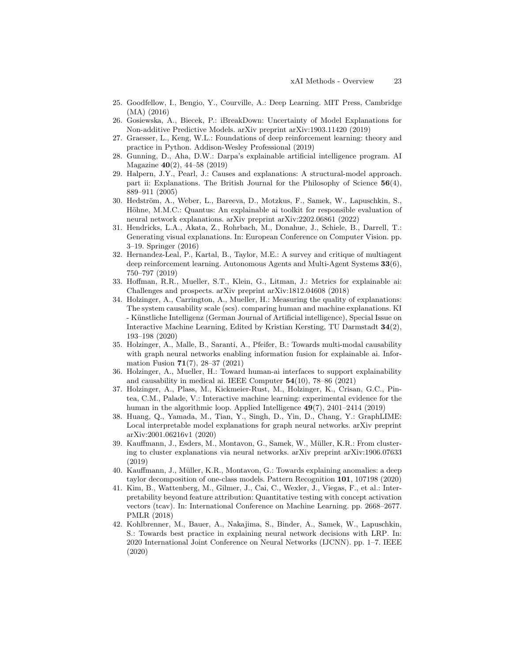- 25. Goodfellow, I., Bengio, Y., Courville, A.: Deep Learning. MIT Press, Cambridge (MA) (2016)
- 26. Gosiewska, A., Biecek, P.: iBreakDown: Uncertainty of Model Explanations for Non-additive Predictive Models. arXiv preprint arXiv:1903.11420 (2019)
- 27. Graesser, L., Keng, W.L.: Foundations of deep reinforcement learning: theory and practice in Python. Addison-Wesley Professional (2019)
- 28. Gunning, D., Aha, D.W.: Darpa's explainable artificial intelligence program. AI Magazine 40(2), 44–58 (2019)
- 29. Halpern, J.Y., Pearl, J.: Causes and explanations: A structural-model approach. part ii: Explanations. The British Journal for the Philosophy of Science  $56(4)$ , 889–911 (2005)
- 30. Hedström, A., Weber, L., Bareeva, D., Motzkus, F., Samek, W., Lapuschkin, S., Höhne, M.M.C.: Quantus: An explainable ai toolkit for responsible evaluation of neural network explanations. arXiv preprint arXiv:2202.06861 (2022)
- 31. Hendricks, L.A., Akata, Z., Rohrbach, M., Donahue, J., Schiele, B., Darrell, T.: Generating visual explanations. In: European Conference on Computer Vision. pp. 3–19. Springer (2016)
- 32. Hernandez-Leal, P., Kartal, B., Taylor, M.E.: A survey and critique of multiagent deep reinforcement learning. Autonomous Agents and Multi-Agent Systems 33(6), 750–797 (2019)
- 33. Hoffman, R.R., Mueller, S.T., Klein, G., Litman, J.: Metrics for explainable ai: Challenges and prospects. arXiv preprint arXiv:1812.04608 (2018)
- 34. Holzinger, A., Carrington, A., Mueller, H.: Measuring the quality of explanations: The system causability scale (scs). comparing human and machine explanations. KI - Künstliche Intelligenz (German Journal of Artificial intelligence), Special Issue on Interactive Machine Learning, Edited by Kristian Kersting, TU Darmstadt 34(2), 193–198 (2020)
- 35. Holzinger, A., Malle, B., Saranti, A., Pfeifer, B.: Towards multi-modal causability with graph neural networks enabling information fusion for explainable ai. Information Fusion 71(7), 28–37 (2021)
- 36. Holzinger, A., Mueller, H.: Toward human-ai interfaces to support explainability and causability in medical ai. IEEE Computer 54(10), 78–86 (2021)
- 37. Holzinger, A., Plass, M., Kickmeier-Rust, M., Holzinger, K., Crisan, G.C., Pintea, C.M., Palade, V.: Interactive machine learning: experimental evidence for the human in the algorithmic loop. Applied Intelligence 49(7), 2401–2414 (2019)
- 38. Huang, Q., Yamada, M., Tian, Y., Singh, D., Yin, D., Chang, Y.: GraphLIME: Local interpretable model explanations for graph neural networks. arXiv preprint arXiv:2001.06216v1 (2020)
- 39. Kauffmann, J., Esders, M., Montavon, G., Samek, W., M¨uller, K.R.: From clustering to cluster explanations via neural networks. arXiv preprint arXiv:1906.07633 (2019)
- 40. Kauffmann, J., Müller, K.R., Montavon, G.: Towards explaining anomalies: a deep taylor decomposition of one-class models. Pattern Recognition 101, 107198 (2020)
- 41. Kim, B., Wattenberg, M., Gilmer, J., Cai, C., Wexler, J., Viegas, F., et al.: Interpretability beyond feature attribution: Quantitative testing with concept activation vectors (tcav). In: International Conference on Machine Learning. pp. 2668–2677. PMLR (2018)
- 42. Kohlbrenner, M., Bauer, A., Nakajima, S., Binder, A., Samek, W., Lapuschkin, S.: Towards best practice in explaining neural network decisions with LRP. In: 2020 International Joint Conference on Neural Networks (IJCNN). pp. 1–7. IEEE (2020)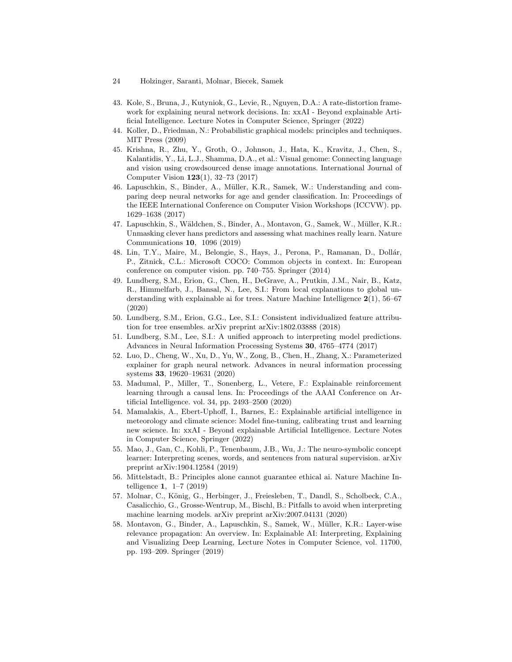- 24 Holzinger, Saranti, Molnar, Biecek, Samek
- 43. Kole, S., Bruna, J., Kutyniok, G., Levie, R., Nguyen, D.A.: A rate-distortion framework for explaining neural network decisions. In: xxAI - Beyond explainable Artificial Intelligence. Lecture Notes in Computer Science, Springer (2022)
- 44. Koller, D., Friedman, N.: Probabilistic graphical models: principles and techniques. MIT Press (2009)
- 45. Krishna, R., Zhu, Y., Groth, O., Johnson, J., Hata, K., Kravitz, J., Chen, S., Kalantidis, Y., Li, L.J., Shamma, D.A., et al.: Visual genome: Connecting language and vision using crowdsourced dense image annotations. International Journal of Computer Vision 123(1), 32–73 (2017)
- 46. Lapuschkin, S., Binder, A., Müller, K.R., Samek, W.: Understanding and comparing deep neural networks for age and gender classification. In: Proceedings of the IEEE International Conference on Computer Vision Workshops (ICCVW). pp. 1629–1638 (2017)
- 47. Lapuschkin, S., Wäldchen, S., Binder, A., Montavon, G., Samek, W., Müller, K.R.: Unmasking clever hans predictors and assessing what machines really learn. Nature Communications 10, 1096 (2019)
- 48. Lin, T.Y., Maire, M., Belongie, S., Hays, J., Perona, P., Ramanan, D., Dollár, P., Zitnick, C.L.: Microsoft COCO: Common objects in context. In: European conference on computer vision. pp. 740–755. Springer (2014)
- 49. Lundberg, S.M., Erion, G., Chen, H., DeGrave, A., Prutkin, J.M., Nair, B., Katz, R., Himmelfarb, J., Bansal, N., Lee, S.I.: From local explanations to global understanding with explainable ai for trees. Nature Machine Intelligence  $2(1)$ , 56–67 (2020)
- 50. Lundberg, S.M., Erion, G.G., Lee, S.I.: Consistent individualized feature attribution for tree ensembles. arXiv preprint arXiv:1802.03888 (2018)
- 51. Lundberg, S.M., Lee, S.I.: A unified approach to interpreting model predictions. Advances in Neural Information Processing Systems 30, 4765–4774 (2017)
- 52. Luo, D., Cheng, W., Xu, D., Yu, W., Zong, B., Chen, H., Zhang, X.: Parameterized explainer for graph neural network. Advances in neural information processing systems 33, 19620–19631 (2020)
- 53. Madumal, P., Miller, T., Sonenberg, L., Vetere, F.: Explainable reinforcement learning through a causal lens. In: Proceedings of the AAAI Conference on Artificial Intelligence. vol. 34, pp. 2493–2500 (2020)
- 54. Mamalakis, A., Ebert-Uphoff, I., Barnes, E.: Explainable artificial intelligence in meteorology and climate science: Model fine-tuning, calibrating trust and learning new science. In: xxAI - Beyond explainable Artificial Intelligence. Lecture Notes in Computer Science, Springer (2022)
- 55. Mao, J., Gan, C., Kohli, P., Tenenbaum, J.B., Wu, J.: The neuro-symbolic concept learner: Interpreting scenes, words, and sentences from natural supervision. arXiv preprint arXiv:1904.12584 (2019)
- 56. Mittelstadt, B.: Principles alone cannot guarantee ethical ai. Nature Machine Intelligence 1, 1–7 (2019)
- 57. Molnar, C., König, G., Herbinger, J., Freiesleben, T., Dandl, S., Scholbeck, C.A., Casalicchio, G., Grosse-Wentrup, M., Bischl, B.: Pitfalls to avoid when interpreting machine learning models. arXiv preprint arXiv:2007.04131 (2020)
- 58. Montavon, G., Binder, A., Lapuschkin, S., Samek, W., Müller, K.R.: Layer-wise relevance propagation: An overview. In: Explainable AI: Interpreting, Explaining and Visualizing Deep Learning, Lecture Notes in Computer Science, vol. 11700, pp. 193–209. Springer (2019)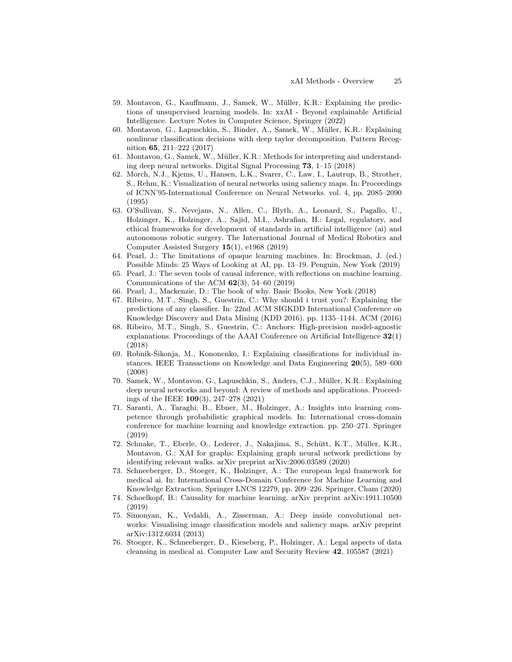- 59. Montavon, G., Kauffmann, J., Samek, W., Müller, K.R.: Explaining the predictions of unsupervised learning models. In: xxAI - Beyond explainable Artificial Intelligence. Lecture Notes in Computer Science, Springer (2022)
- 60. Montavon, G., Lapuschkin, S., Binder, A., Samek, W., M¨uller, K.R.: Explaining nonlinear classification decisions with deep taylor decomposition. Pattern Recognition 65, 211–222 (2017)
- 61. Montavon, G., Samek, W., Müller, K.R.: Methods for interpreting and understanding deep neural networks. Digital Signal Processing 73, 1–15 (2018)
- 62. Morch, N.J., Kjems, U., Hansen, L.K., Svarer, C., Law, I., Lautrup, B., Strother, S., Rehm, K.: Visualization of neural networks using saliency maps. In: Proceedings of ICNN'95-International Conference on Neural Networks. vol. 4, pp. 2085–2090 (1995)
- 63. O'Sullivan, S., Nevejans, N., Allen, C., Blyth, A., Leonard, S., Pagallo, U., Holzinger, K., Holzinger, A., Sajid, M.I., Ashrafian, H.: Legal, regulatory, and ethical frameworks for development of standards in artificial intelligence (ai) and autonomous robotic surgery. The International Journal of Medical Robotics and Computer Assisted Surgery 15(1), e1968 (2019)
- 64. Pearl, J.: The limitations of opaque learning machines. In: Brockman, J. (ed.) Possible Minds: 25 Ways of Looking at AI, pp. 13–19. Penguin, New York (2019)
- 65. Pearl, J.: The seven tools of causal inference, with reflections on machine learning. Communications of the ACM  $62(3)$ , 54–60 (2019)
- 66. Pearl, J., Mackenzie, D.: The book of why. Basic Books, New York (2018)
- 67. Ribeiro, M.T., Singh, S., Guestrin, C.: Why should i trust you?: Explaining the predictions of any classifier. In: 22nd ACM SIGKDD International Conference on Knowledge Discovery and Data Mining (KDD 2016). pp. 1135–1144. ACM (2016)
- 68. Ribeiro, M.T., Singh, S., Guestrin, C.: Anchors: High-precision model-agnostic explanations. Proceedings of the AAAI Conference on Artificial Intelligence 32(1) (2018)
- 69. Robnik-Šikonja, M., Kononenko, I.: Explaining classifications for individual instances. IEEE Transactions on Knowledge and Data Engineering 20(5), 589–600 (2008)
- 70. Samek, W., Montavon, G., Lapuschkin, S., Anders, C.J., Müller, K.R.: Explaining deep neural networks and beyond: A review of methods and applications. Proceedings of the IEEE 109(3), 247–278 (2021)
- 71. Saranti, A., Taraghi, B., Ebner, M., Holzinger, A.: Insights into learning competence through probabilistic graphical models. In: International cross-domain conference for machine learning and knowledge extraction. pp. 250–271. Springer (2019)
- 72. Schnake, T., Eberle, O., Lederer, J., Nakajima, S., Schütt, K.T., Müller, K.R., Montavon, G.: XAI for graphs: Explaining graph neural network predictions by identifying relevant walks. arXiv preprint arXiv:2006.03589 (2020)
- 73. Schneeberger, D., Stoeger, K., Holzinger, A.: The european legal framework for medical ai. In: International Cross-Domain Conference for Machine Learning and Knowledge Extraction, Springer LNCS 12279, pp. 209–226. Springer, Cham (2020)
- 74. Schoelkopf, B.: Causality for machine learning. arXiv preprint arXiv:1911.10500 (2019)
- 75. Simonyan, K., Vedaldi, A., Zisserman, A.: Deep inside convolutional networks: Visualising image classification models and saliency maps. arXiv preprint arXiv:1312.6034 (2013)
- 76. Stoeger, K., Schneeberger, D., Kieseberg, P., Holzinger, A.: Legal aspects of data cleansing in medical ai. Computer Law and Security Review 42, 105587 (2021)